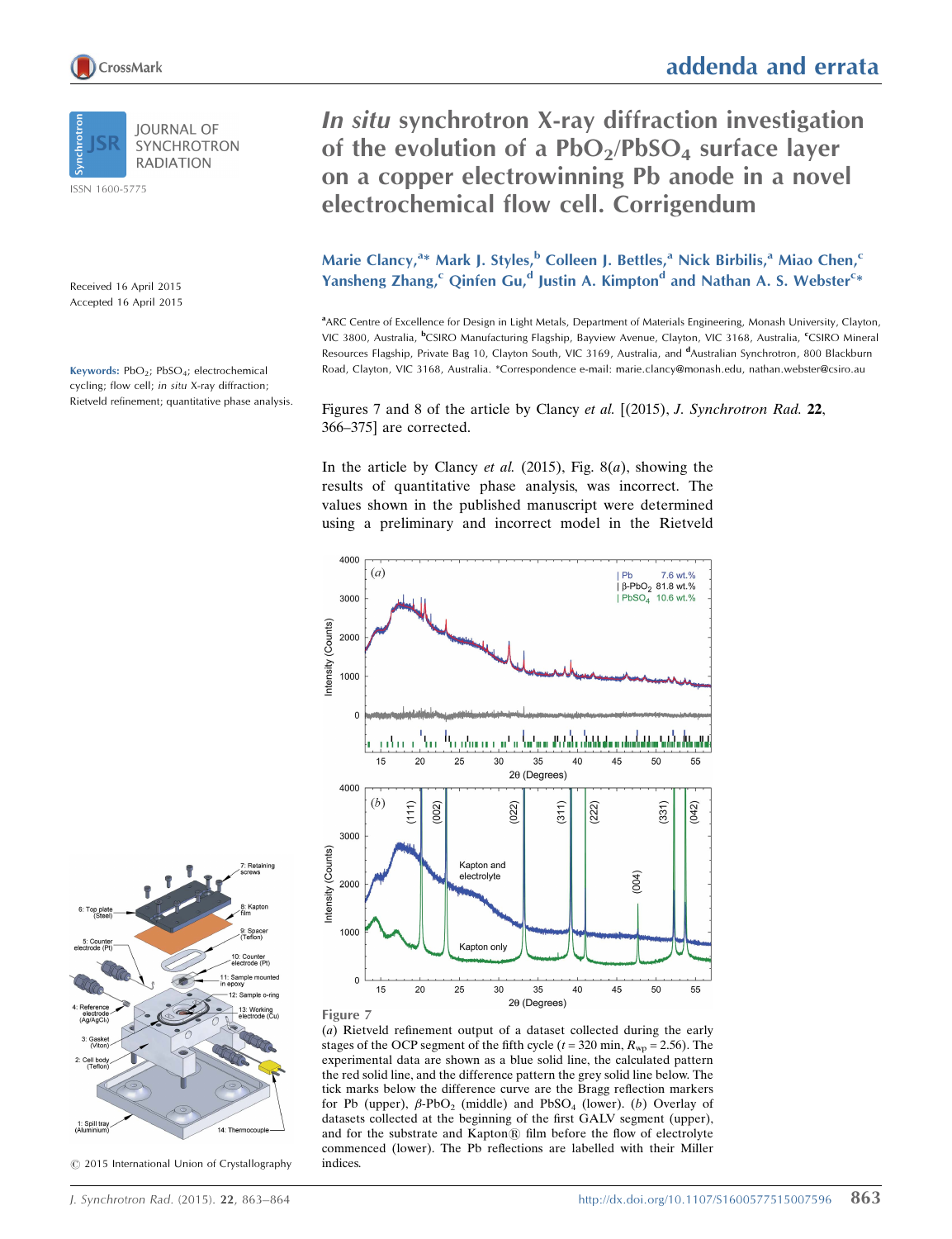In situ synchrotron X-ray diffraction investigation of the evolution of a  $PbO<sub>2</sub>/PbSO<sub>4</sub>$  surface layer on a copper electrowinning Pb anode in a novel electrochemical flow cell. Corrigendum

Marie Clancy,<sup>a\*</sup> Mark J. Styles,<sup>b</sup> Colleen J. Bettles,<sup>a</sup> Nick Birbilis,<sup>a</sup> Miao Chen,<sup>c</sup> Yansheng Zhang,<sup>c</sup> Qinfen Gu,<sup>d</sup> Justin A. Kimpton<sup>d</sup> and Nathan A. S. Webster<sup>c\*</sup>

<sup>a</sup> ARC Centre of Excellence for Design in Light Metals, Department of Materials Engineering, Monash University, Clayton, VIC 3800, Australia, <sup>b</sup>CSIRO Manufacturing Flagship, Bayview Avenue, Clayton, VIC 3168, Australia, <sup>c</sup>CSIRO Mineral Resources Flagship, Private Bag 10, Clayton South, VIC 3169, Australia, and <sup>d</sup>Australian Synchrotron, 800 Blackburn Road, Clayton, VIC 3168, Australia. \*Correspondence e-mail: marie.clancy@monash.edu, nathan.webster@csiro.au

> 7.6 wt.%  $\beta$ -PbO<sub>2</sub> 81.8 wt.%

| PbSO<sub>4</sub> 10.6 wt.%

50

 $(331)$  $(042)$ 

 $(004)$ 

55

Figures 7 and 8 of the article by Clancy et al. [(2015), J. Synchrotron Rad. 22, 366–375] are corrected.

In the article by Clancy *et al.* (2015), Fig.  $8(a)$ , showing the results of quantitative phase analysis, was incorrect. The values shown in the published manuscript were determined using a preliminary and incorrect model in the Rietveld

ក្រុង សុំមាន នៅ ដែលប្រជាជនរង្វាយ សុំមាន នៅក្នុងកំពុងការស្នង និង និងជាតិក្នុងកំពុងកំពុងកំពុងកំពុងកំពុងកំពុងកំពុ

35

 $2\theta$  (Degrees)

 $40$ 

 $(222)$ 

 $(311)$ 

45

Figure 7

4000

3000

1000

 $\overline{0}$ 

4000

3000

2000

1000

 $\overline{0}$ 15

Intensity (Counts)

15

 $(b)$ 

 $20$ 

 $(111)$ 

20

 $(002)$ 

25

 $30$ 

Kapton and electrolyte

Kapton only

30

35

 $2\theta$  (Degrees)

40

45

50

55

25

 $(022)$ 

ntensity (Counts) 2000  $(a)$ 

(a) Rietveld refinement output of a dataset collected during the early stages of the OCP segment of the fifth cycle ( $t = 320$  min,  $R_{wp} = 2.56$ ). The experimental data are shown as a blue solid line, the calculated pattern the red solid line, and the difference pattern the grey solid line below. The tick marks below the difference curve are the Bragg reflection markers for Pb (upper),  $\beta$ -PbO<sub>2</sub> (middle) and PbSO<sub>4</sub> (lower). (b) Overlay of datasets collected at the beginning of the first GALV segment (upper), and for the substrate and Kapton® film before the flow of electrolyte commenced (lower). The Pb reflections are labelled with their Miller indices.

 $14 \cdot$  The  $©$  2015 International Union of Crystallography



Received 16 April 2015 Accepted 16 April 2015

Keywords:  $PbO<sub>2</sub>$ ;  $PbSO<sub>4</sub>$ ; electrochemical cycling; flow cell; in situ X-ray diffraction; Rietveld refinement; quantitative phase analysis.



CrossMark

ISSN 1600-5775